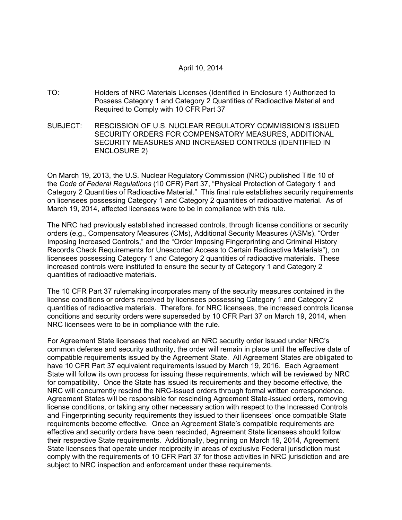### April 10, 2014

- TO: Holders of NRC Materials Licenses (Identified in Enclosure 1) Authorized to Possess Category 1 and Category 2 Quantities of Radioactive Material and Required to Comply with 10 CFR Part 37
- SUBJECT: RESCISSION OF U.S. NUCLEAR REGULATORY COMMISSION'S ISSUED SECURITY ORDERS FOR COMPENSATORY MEASURES, ADDITIONAL SECURITY MEASURES AND INCREASED CONTROLS (IDENTIFIED IN ENCLOSURE 2)

On March 19, 2013, the U.S. Nuclear Regulatory Commission (NRC) published Title 10 of the *Code of Federal Regulations* (10 CFR) Part 37, "Physical Protection of Category 1 and Category 2 Quantities of Radioactive Material." This final rule establishes security requirements on licensees possessing Category 1 and Category 2 quantities of radioactive material. As of March 19, 2014, affected licensees were to be in compliance with this rule.

The NRC had previously established increased controls, through license conditions or security orders (e.g., Compensatory Measures (CMs), Additional Security Measures (ASMs), "Order Imposing Increased Controls," and the "Order Imposing Fingerprinting and Criminal History Records Check Requirements for Unescorted Access to Certain Radioactive Materials"), on licensees possessing Category 1 and Category 2 quantities of radioactive materials. These increased controls were instituted to ensure the security of Category 1 and Category 2 quantities of radioactive materials.

The 10 CFR Part 37 rulemaking incorporates many of the security measures contained in the license conditions or orders received by licensees possessing Category 1 and Category 2 quantities of radioactive materials. Therefore, for NRC licensees, the increased controls license conditions and security orders were superseded by 10 CFR Part 37 on March 19, 2014, when NRC licensees were to be in compliance with the rule.

For Agreement State licensees that received an NRC security order issued under NRC's common defense and security authority, the order will remain in place until the effective date of compatible requirements issued by the Agreement State. All Agreement States are obligated to have 10 CFR Part 37 equivalent requirements issued by March 19, 2016. Each Agreement State will follow its own process for issuing these requirements, which will be reviewed by NRC for compatibility. Once the State has issued its requirements and they become effective, the NRC will concurrently rescind the NRC-issued orders through formal written correspondence. Agreement States will be responsible for rescinding Agreement State-issued orders, removing license conditions, or taking any other necessary action with respect to the Increased Controls and Fingerprinting security requirements they issued to their licensees' once compatible State requirements become effective. Once an Agreement State's compatible requirements are effective and security orders have been rescinded, Agreement State licensees should follow their respective State requirements. Additionally, beginning on March 19, 2014, Agreement State licensees that operate under reciprocity in areas of exclusive Federal jurisdiction must comply with the requirements of 10 CFR Part 37 for those activities in NRC jurisdiction and are subject to NRC inspection and enforcement under these requirements.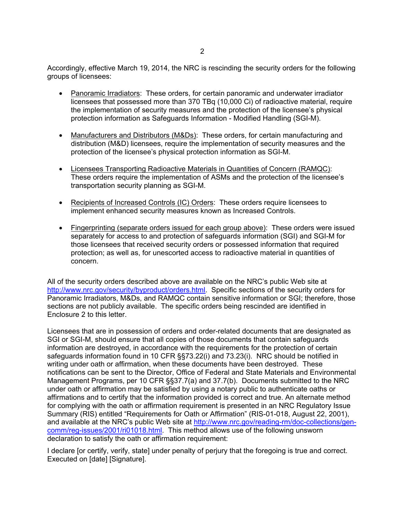Accordingly, effective March 19, 2014, the NRC is rescinding the security orders for the following groups of licensees:

- Panoramic Irradiators: These orders, for certain panoramic and underwater irradiator licensees that possessed more than 370 TBq (10,000 Ci) of radioactive material, require the implementation of security measures and the protection of the licensee's physical protection information as Safeguards Information - Modified Handling (SGI-M).
- Manufacturers and Distributors (M&Ds): These orders, for certain manufacturing and distribution (M&D) licensees, require the implementation of security measures and the protection of the licensee's physical protection information as SGI-M.
- Licensees Transporting Radioactive Materials in Quantities of Concern (RAMQC): These orders require the implementation of ASMs and the protection of the licensee's transportation security planning as SGI-M.
- Recipients of Increased Controls (IC) Orders: These orders require licensees to implement enhanced security measures known as Increased Controls.
- Fingerprinting (separate orders issued for each group above): These orders were issued separately for access to and protection of safeguards information (SGI) and SGI-M for those licensees that received security orders or possessed information that required protection; as well as, for unescorted access to radioactive material in quantities of concern.

All of the security orders described above are available on the NRC's public Web site at http://www.nrc.gov/security/byproduct/orders.html. Specific sections of the security orders for Panoramic Irradiators, M&Ds, and RAMQC contain sensitive information or SGI; therefore, those sections are not publicly available. The specific orders being rescinded are identified in Enclosure 2 to this letter.

Licensees that are in possession of orders and order-related documents that are designated as SGI or SGI-M, should ensure that all copies of those documents that contain safeguards information are destroyed, in accordance with the requirements for the protection of certain safeguards information found in 10 CFR §§73.22(i) and 73.23(i). NRC should be notified in writing under oath or affirmation, when these documents have been destroyed. These notifications can be sent to the Director, Office of Federal and State Materials and Environmental Management Programs, per 10 CFR §§37.7(a) and 37.7(b). Documents submitted to the NRC under oath or affirmation may be satisfied by using a notary public to authenticate oaths or affirmations and to certify that the information provided is correct and true. An alternate method for complying with the oath or affirmation requirement is presented in an NRC Regulatory Issue Summary (RIS) entitled "Requirements for Oath or Affirmation" (RIS-01-018, August 22, 2001), and available at the NRC's public Web site at http://www.nrc.gov/reading-rm/doc-collections/gencomm/reg-issues/2001/ri01018.html. This method allows use of the following unsworn declaration to satisfy the oath or affirmation requirement:

I declare [or certify, verify, state] under penalty of perjury that the foregoing is true and correct. Executed on [date] [Signature].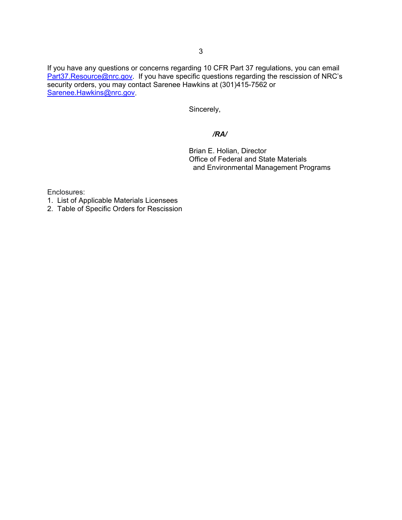If you have any questions or concerns regarding 10 CFR Part 37 regulations, you can email Part37.Resource@nrc.gov. If you have specific questions regarding the rescission of NRC's security orders, you may contact Sarenee Hawkins at (301)415-7562 or Sarenee.Hawkins@nrc.gov.

Sincerely,

#### */RA/*

 Brian E. Holian, Director Office of Federal and State Materials and Environmental Management Programs

Enclosures:

- 1. List of Applicable Materials Licensees
- 2. Table of Specific Orders for Rescission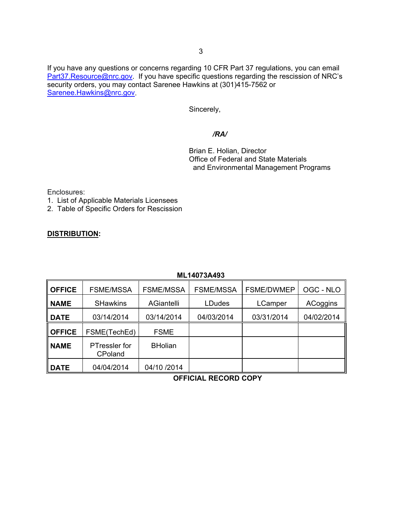If you have any questions or concerns regarding 10 CFR Part 37 regulations, you can email Part37.Resource@nrc.gov. If you have specific questions regarding the rescission of NRC's security orders, you may contact Sarenee Hawkins at (301)415-7562 or Sarenee.Hawkins@nrc.gov.

Sincerely,

#### */RA/*

 Brian E. Holian, Director Office of Federal and State Materials and Environmental Management Programs

Enclosures:

- 1. List of Applicable Materials Licensees
- 2. Table of Specific Orders for Rescission

### **DISTRIBUTION:**

## **ML14073A493**

| <b>OFFICE</b> | <b>FSME/MSSA</b>         | <b>FSME/MSSA</b>  | <b>FSME/MSSA</b> | <b>FSME/DWMEP</b> | OGC - NLO  |
|---------------|--------------------------|-------------------|------------------|-------------------|------------|
| <b>NAME</b>   | <b>SHawkins</b>          | <b>AGiantelli</b> | <b>LDudes</b>    | LCamper           | ACoggins   |
| <b>DATE</b>   | 03/14/2014               | 03/14/2014        | 04/03/2014       | 03/31/2014        | 04/02/2014 |
| <b>OFFICE</b> | FSME(TechEd)             | <b>FSME</b>       |                  |                   |            |
| <b>NAME</b>   | PTressler for<br>CPoland | <b>BHolian</b>    |                  |                   |            |
| <b>DATE</b>   | 04/04/2014               | 04/10 /2014       |                  |                   |            |

**OFFICIAL RECORD COPY**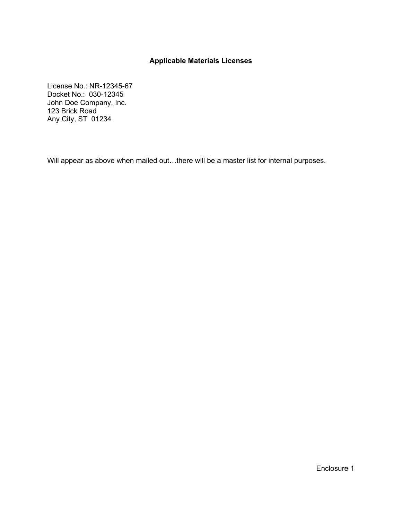# **Applicable Materials Licenses**

License No.: NR-12345-67 Docket No.: 030-12345 John Doe Company, Inc. 123 Brick Road Any City, ST 01234

Will appear as above when mailed out...there will be a master list for internal purposes.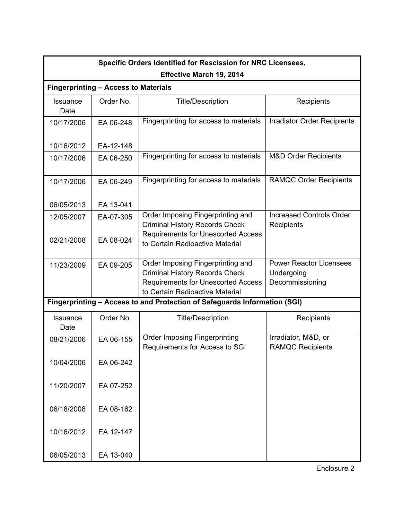| Specific Orders Identified for Rescission for NRC Licensees,              |                                             |                                                                                                                                                            |                                                                 |  |  |  |
|---------------------------------------------------------------------------|---------------------------------------------|------------------------------------------------------------------------------------------------------------------------------------------------------------|-----------------------------------------------------------------|--|--|--|
| Effective March 19, 2014                                                  |                                             |                                                                                                                                                            |                                                                 |  |  |  |
|                                                                           | <b>Fingerprinting - Access to Materials</b> |                                                                                                                                                            |                                                                 |  |  |  |
| Issuance<br>Date                                                          | Order No.                                   | <b>Title/Description</b>                                                                                                                                   | Recipients                                                      |  |  |  |
| 10/17/2006                                                                | EA 06-248                                   | Fingerprinting for access to materials                                                                                                                     | Irradiator Order Recipients                                     |  |  |  |
| 10/16/2012                                                                | EA-12-148                                   |                                                                                                                                                            |                                                                 |  |  |  |
| 10/17/2006                                                                | EA 06-250                                   | Fingerprinting for access to materials                                                                                                                     | <b>M&amp;D Order Recipients</b>                                 |  |  |  |
| 10/17/2006                                                                | EA 06-249                                   | Fingerprinting for access to materials                                                                                                                     | <b>RAMQC Order Recipients</b>                                   |  |  |  |
| 06/05/2013                                                                | EA 13-041                                   |                                                                                                                                                            |                                                                 |  |  |  |
| 12/05/2007                                                                | EA-07-305                                   | Order Imposing Fingerprinting and<br><b>Criminal History Records Check</b>                                                                                 | <b>Increased Controls Order</b><br>Recipients                   |  |  |  |
| 02/21/2008                                                                | EA 08-024                                   | <b>Requirements for Unescorted Access</b><br>to Certain Radioactive Material                                                                               |                                                                 |  |  |  |
| 11/23/2009                                                                | EA 09-205                                   | Order Imposing Fingerprinting and<br><b>Criminal History Records Check</b><br><b>Requirements for Unescorted Access</b><br>to Certain Radioactive Material | <b>Power Reactor Licensees</b><br>Undergoing<br>Decommissioning |  |  |  |
| Fingerprinting - Access to and Protection of Safeguards Information (SGI) |                                             |                                                                                                                                                            |                                                                 |  |  |  |
| Issuance<br>Date                                                          | Order No.                                   | <b>Title/Description</b>                                                                                                                                   | Recipients                                                      |  |  |  |
| 08/21/2006                                                                | EA 06-155                                   | <b>Order Imposing Fingerprinting</b><br>Requirements for Access to SGI                                                                                     | Irradiator, M&D, or<br><b>RAMQC Recipients</b>                  |  |  |  |
| 10/04/2006                                                                | EA 06-242                                   |                                                                                                                                                            |                                                                 |  |  |  |
| 11/20/2007                                                                | EA 07-252                                   |                                                                                                                                                            |                                                                 |  |  |  |
| 06/18/2008                                                                | EA 08-162                                   |                                                                                                                                                            |                                                                 |  |  |  |
| 10/16/2012                                                                | EA 12-147                                   |                                                                                                                                                            |                                                                 |  |  |  |
| 06/05/2013                                                                | EA 13-040                                   |                                                                                                                                                            |                                                                 |  |  |  |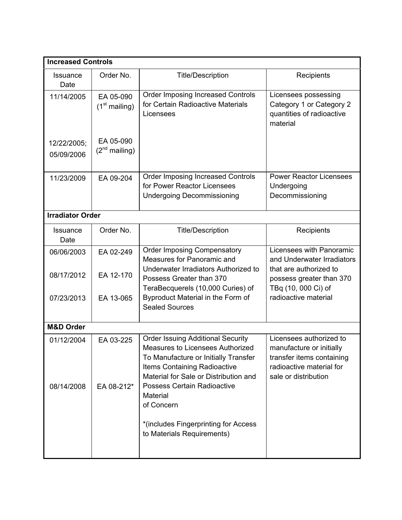| <b>Increased Controls</b> |                                 |                                                                                                                                                                                               |                                                                                                                                      |  |  |
|---------------------------|---------------------------------|-----------------------------------------------------------------------------------------------------------------------------------------------------------------------------------------------|--------------------------------------------------------------------------------------------------------------------------------------|--|--|
| <b>Issuance</b><br>Date   | Order No.                       | <b>Title/Description</b>                                                                                                                                                                      | Recipients                                                                                                                           |  |  |
| 11/14/2005                | EA 05-090<br>$(1st$ mailing)    | <b>Order Imposing Increased Controls</b><br>for Certain Radioactive Materials<br>Licensees                                                                                                    | Licensees possessing<br>Category 1 or Category 2<br>quantities of radioactive<br>material                                            |  |  |
| 12/22/2005;<br>05/09/2006 | EA 05-090<br>$(2^{nd}$ mailing) |                                                                                                                                                                                               |                                                                                                                                      |  |  |
| 11/23/2009                | EA 09-204                       | <b>Order Imposing Increased Controls</b><br>for Power Reactor Licensees<br><b>Undergoing Decommissioning</b>                                                                                  | <b>Power Reactor Licensees</b><br>Undergoing<br>Decommissioning                                                                      |  |  |
| <b>Irradiator Order</b>   |                                 |                                                                                                                                                                                               |                                                                                                                                      |  |  |
| <b>Issuance</b><br>Date   | Order No.                       | <b>Title/Description</b>                                                                                                                                                                      | Recipients                                                                                                                           |  |  |
| 06/06/2003<br>08/17/2012  | EA 02-249<br>EA 12-170          | <b>Order Imposing Compensatory</b><br>Measures for Panoramic and<br>Underwater Irradiators Authorized to                                                                                      | Licensees with Panoramic<br>and Underwater Irradiators<br>that are authorized to                                                     |  |  |
|                           |                                 | Possess Greater than 370<br>TeraBecquerels (10,000 Curies) of                                                                                                                                 | possess greater than 370<br>TBq (10, 000 Ci) of                                                                                      |  |  |
| 07/23/2013                | EA 13-065                       | Byproduct Material in the Form of<br><b>Sealed Sources</b>                                                                                                                                    | radioactive material                                                                                                                 |  |  |
| <b>M&amp;D Order</b>      |                                 |                                                                                                                                                                                               |                                                                                                                                      |  |  |
| 01/12/2004                | EA 03-225                       | <b>Order Issuing Additional Security</b><br>Measures to Licensees Authorized<br>To Manufacture or Initially Transfer<br>Items Containing Radioactive<br>Material for Sale or Distribution and | Licensees authorized to<br>manufacture or initially<br>transfer items containing<br>radioactive material for<br>sale or distribution |  |  |
| 08/14/2008                | EA 08-212*                      | Possess Certain Radioactive<br>Material<br>of Concern<br>*(includes Fingerprinting for Access<br>to Materials Requirements)                                                                   |                                                                                                                                      |  |  |